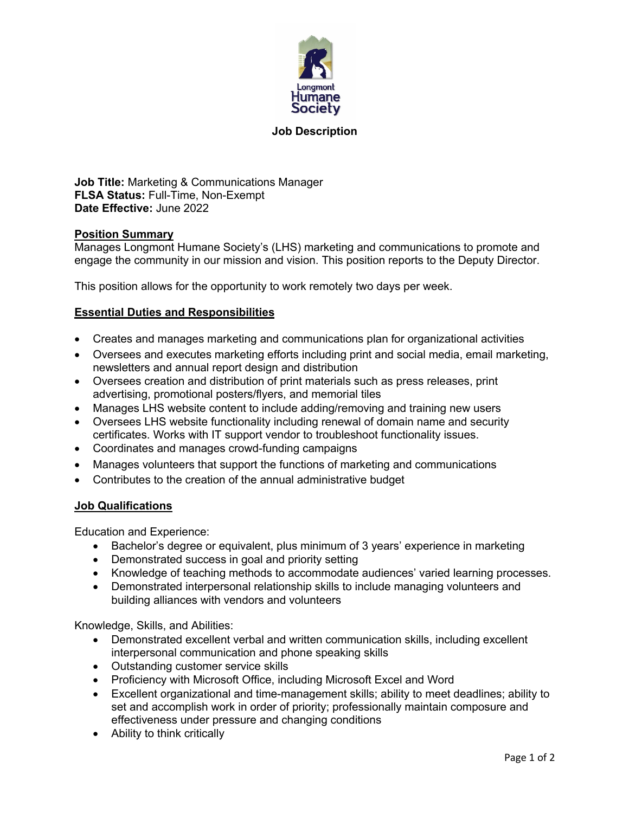

## **Job Description**

**Job Title:** Marketing & Communications Manager **FLSA Status:** Full-Time, Non-Exempt **Date Effective:** June 2022

## **Position Summary**

Manages Longmont Humane Society's (LHS) marketing and communications to promote and engage the community in our mission and vision. This position reports to the Deputy Director.

This position allows for the opportunity to work remotely two days per week.

## **Essential Duties and Responsibilities**

- Creates and manages marketing and communications plan for organizational activities
- Oversees and executes marketing efforts including print and social media, email marketing, newsletters and annual report design and distribution
- Oversees creation and distribution of print materials such as press releases, print advertising, promotional posters/flyers, and memorial tiles
- Manages LHS website content to include adding/removing and training new users
- Oversees LHS website functionality including renewal of domain name and security certificates. Works with IT support vendor to troubleshoot functionality issues.
- Coordinates and manages crowd-funding campaigns
- Manages volunteers that support the functions of marketing and communications
- Contributes to the creation of the annual administrative budget

## **Job Qualifications**

Education and Experience:

- Bachelor's degree or equivalent, plus minimum of 3 years' experience in marketing
- Demonstrated success in goal and priority setting
- Knowledge of teaching methods to accommodate audiences' varied learning processes.
- Demonstrated interpersonal relationship skills to include managing volunteers and building alliances with vendors and volunteers

Knowledge, Skills, and Abilities:

- Demonstrated excellent verbal and written communication skills, including excellent interpersonal communication and phone speaking skills
- Outstanding customer service skills
- Proficiency with Microsoft Office, including Microsoft Excel and Word
- Excellent organizational and time-management skills; ability to meet deadlines; ability to set and accomplish work in order of priority; professionally maintain composure and effectiveness under pressure and changing conditions
- Ability to think critically